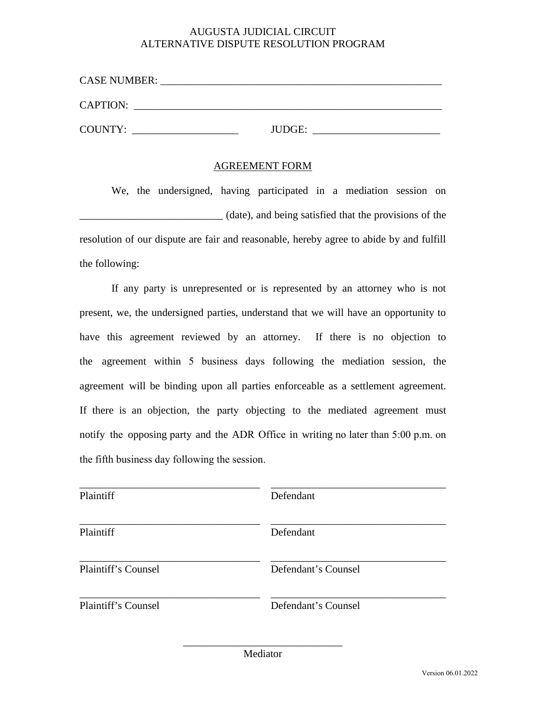## AUGUSTA JUDICIAL CIRCUIT ALTERNATIVE DISPUTE RESOLUTION PROGRAM

| <b>CASE NUMBER:</b> |        |
|---------------------|--------|
| <b>CAPTION:</b>     |        |
| COUNTY:             | JUDGE: |

## AGREEMENT FORM

We, the undersigned, having participated in a mediation session on \_\_\_\_\_\_\_\_\_\_\_\_\_\_\_\_\_\_\_\_\_\_\_\_\_\_\_ (date), and being satisfied that the provisions of the resolution of our dispute are fair and reasonable, hereby agree to abide by and fulfill the following:

If any party is unrepresented or is represented by an attorney who is not present, we, the undersigned parties, understand that we will have an opportunity to have this agreement reviewed by an attorney. If there is no objection to the agreement within 5 business days following the mediation session, the agreement will be binding upon all parties enforceable as a settlement agreement. If there is an objection, the party objecting to the mediated agreement must notify the opposing party and the ADR Office in writing no later than 5:00 p.m. on the fifth business day following the session.

| Plaintiff           | Defendant           |
|---------------------|---------------------|
| Plaintiff           | Defendant           |
| Plaintiff's Counsel | Defendant's Counsel |
| Plaintiff's Counsel | Defendant's Counsel |

\_\_\_\_\_\_\_\_\_\_\_\_\_\_\_\_\_\_\_\_\_\_\_\_\_\_\_\_\_\_ Mediator